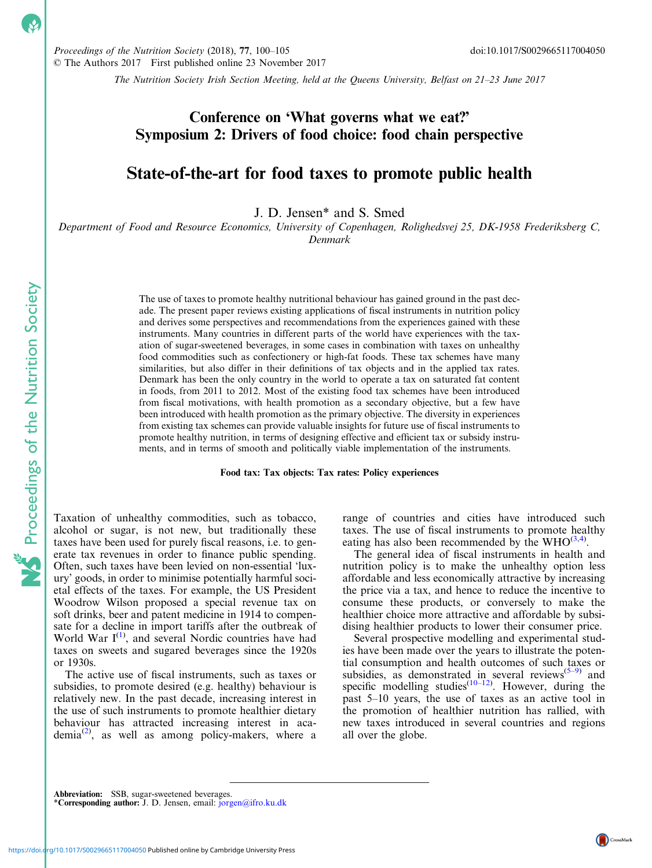The Nutrition Society Irish Section Meeting, held at the Queens University, Belfast on 21–23 June 2017

# Conference on 'What governs what we eat?' Symposium 2: Drivers of food choice: food chain perspective

# State-of-the-art for food taxes to promote public health

J. D. Jensen\* and S. Smed

Department of Food and Resource Economics, University of Copenhagen, Rolighedsvej 25, DK-1958 Frederiksberg C, Denmark

> The use of taxes to promote healthy nutritional behaviour has gained ground in the past decade. The present paper reviews existing applications of fiscal instruments in nutrition policy and derives some perspectives and recommendations from the experiences gained with these instruments. Many countries in different parts of the world have experiences with the taxation of sugar-sweetened beverages, in some cases in combination with taxes on unhealthy food commodities such as confectionery or high-fat foods. These tax schemes have many similarities, but also differ in their definitions of tax objects and in the applied tax rates. Denmark has been the only country in the world to operate a tax on saturated fat content in foods, from 2011 to 2012. Most of the existing food tax schemes have been introduced from fiscal motivations, with health promotion as a secondary objective, but a few have been introduced with health promotion as the primary objective. The diversity in experiences from existing tax schemes can provide valuable insights for future use of fiscal instruments to promote healthy nutrition, in terms of designing effective and efficient tax or subsidy instruments, and in terms of smooth and politically viable implementation of the instruments.

#### Food tax: Tax objects: Tax rates: Policy experiences

Taxation of unhealthy commodities, such as tobacco, alcohol or sugar, is not new, but traditionally these taxes have been used for purely fiscal reasons, i.e. to generate tax revenues in order to finance public spending. Often, such taxes have been levied on non-essential 'luxury' goods, in order to minimise potentially harmful societal effects of the taxes. For example, the US President Woodrow Wilson proposed a special revenue tax on soft drinks, beer and patent medicine in 1914 to compensate for a decline in import tariffs after the outbreak of World War  $I^{(1)}$  $I^{(1)}$  $I^{(1)}$ , and several Nordic countries have had taxes on sweets and sugared beverages since the 1920s or 1930s.

The active use of fiscal instruments, such as taxes or subsidies, to promote desired (e.g. healthy) behaviour is relatively new. In the past decade, increasing interest in the use of such instruments to promote healthier dietary behaviour has attracted increasing interest in aca- $demia<sup>(2)</sup>$  $demia<sup>(2)</sup>$  $demia<sup>(2)</sup>$ , as well as among policy-makers, where a

range of countries and cities have introduced such taxes. The use of fiscal instruments to promote healthy eating has also been recommended by the WHO $^{(3,4)}$  $^{(3,4)}$  $^{(3,4)}$ .

The general idea of fiscal instruments in health and nutrition policy is to make the unhealthy option less affordable and less economically attractive by increasing the price via a tax, and hence to reduce the incentive to consume these products, or conversely to make the healthier choice more attractive and affordable by subsidising healthier products to lower their consumer price.

Several prospective modelling and experimental studies have been made over the years to illustrate the potential consumption and health outcomes of such taxes or subsidies, as demonstrated in several reviews<sup>([5](#page-4-0)-[9](#page-4-0))</sup> and specific modelling studies<sup>([10](#page-5-0)–[12\)](#page-5-0)</sup>. However, during the past 5–10 years, the use of taxes as an active tool in the promotion of healthier nutrition has rallied, with new taxes introduced in several countries and regions all over the globe.

<https://doi.org/10.1017/S0029665117004050>Published online by Cambridge University Press

CrossMark

Abbreviation: SSB, sugar-sweetened beverages.<br>\*Corresponding author: J. D. Jensen, email: [jorgen@ifro.ku.dk](mailto:jorgen@ifro.ku.dk)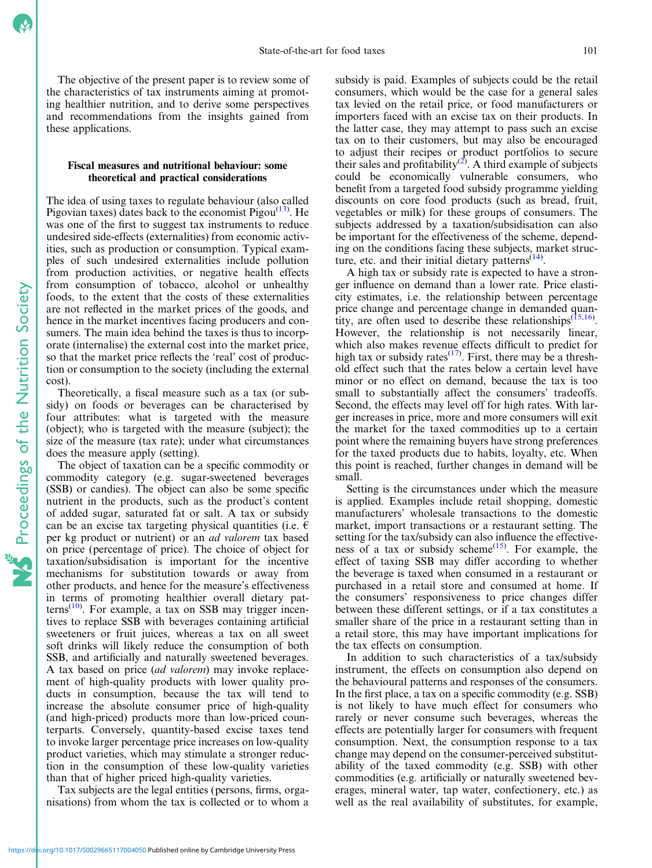The objective of the present paper is to review some of the characteristics of tax instruments aiming at promoting healthier nutrition, and to derive some perspectives and recommendations from the insights gained from these applications.

# Fiscal measures and nutritional behaviour: some theoretical and practical considerations

The idea of using taxes to regulate behaviour (also called Pigovian taxes) dates back to the economist  $Pigou<sup>(13)</sup>$  $Pigou<sup>(13)</sup>$  $Pigou<sup>(13)</sup>$ . He was one of the first to suggest tax instruments to reduce undesired side-effects (externalities) from economic activities, such as production or consumption. Typical examples of such undesired externalities include pollution from production activities, or negative health effects from consumption of tobacco, alcohol or unhealthy foods, to the extent that the costs of these externalities are not reflected in the market prices of the goods, and hence in the market incentives facing producers and consumers. The main idea behind the taxes is thus to incorporate (internalise) the external cost into the market price, so that the market price reflects the 'real' cost of production or consumption to the society (including the external cost).

Theoretically, a fiscal measure such as a tax (or subsidy) on foods or beverages can be characterised by four attributes: what is targeted with the measure (object); who is targeted with the measure (subject); the size of the measure (tax rate); under what circumstances does the measure apply (setting).

The object of taxation can be a specific commodity or commodity category (e.g. sugar-sweetened beverages (SSB) or candies). The object can also be some specific nutrient in the products, such as the product's content of added sugar, saturated fat or salt. A tax or subsidy can be an excise tax targeting physical quantities (i.e.  $\epsilon$ per kg product or nutrient) or an ad valorem tax based on price (percentage of price). The choice of object for taxation/subsidisation is important for the incentive mechanisms for substitution towards or away from other products, and hence for the measure's effectiveness in terms of promoting healthier overall dietary pat-terns<sup>[\(10\)](#page-5-0)</sup>. For example, a tax on SSB may trigger incentives to replace SSB with beverages containing artificial sweeteners or fruit juices, whereas a tax on all sweet soft drinks will likely reduce the consumption of both SSB, and artificially and naturally sweetened beverages. A tax based on price (ad valorem) may invoke replacement of high-quality products with lower quality products in consumption, because the tax will tend to increase the absolute consumer price of high-quality (and high-priced) products more than low-priced counterparts. Conversely, quantity-based excise taxes tend to invoke larger percentage price increases on low-quality product varieties, which may stimulate a stronger reduction in the consumption of these low-quality varieties than that of higher priced high-quality varieties.

Tax subjects are the legal entities (persons, firms, organisations) from whom the tax is collected or to whom a subsidy is paid. Examples of subjects could be the retail consumers, which would be the case for a general sales tax levied on the retail price, or food manufacturers or importers faced with an excise tax on their products. In the latter case, they may attempt to pass such an excise tax on to their customers, but may also be encouraged to adjust their recipes or product portfolios to secure their sales and profitability $(2)$  $(2)$  $(2)$ . A third example of subjects could be economically vulnerable consumers, who benefit from a targeted food subsidy programme yielding discounts on core food products (such as bread, fruit, vegetables or milk) for these groups of consumers. The subjects addressed by a taxation/subsidisation can also be important for the effectiveness of the scheme, depending on the conditions facing these subjects, market structure, etc. and their initial dietary patterns $(14)$ .

A high tax or subsidy rate is expected to have a stronger influence on demand than a lower rate. Price elasticity estimates, i.e. the relationship between percentage price change and percentage change in demanded quantity, are often used to describe these relationships $(15,16)$  $(15,16)$ . However, the relationship is not necessarily linear, which also makes revenue effects difficult to predict for high tax or subsidy rates<sup>([17](#page-5-0))</sup>. First, there may be a threshold effect such that the rates below a certain level have minor or no effect on demand, because the tax is too small to substantially affect the consumers' tradeoffs. Second, the effects may level off for high rates. With larger increases in price, more and more consumers will exit the market for the taxed commodities up to a certain point where the remaining buyers have strong preferences for the taxed products due to habits, loyalty, etc. When this point is reached, further changes in demand will be small.

Setting is the circumstances under which the measure is applied. Examples include retail shopping, domestic manufacturers' wholesale transactions to the domestic market, import transactions or a restaurant setting. The setting for the tax/subsidy can also influence the effectiveness of a tax or subsidy scheme $(15)$  $(15)$  $(15)$ . For example, the effect of taxing SSB may differ according to whether the beverage is taxed when consumed in a restaurant or purchased in a retail store and consumed at home. If the consumers' responsiveness to price changes differ between these different settings, or if a tax constitutes a smaller share of the price in a restaurant setting than in a retail store, this may have important implications for the tax effects on consumption.

In addition to such characteristics of a tax/subsidy instrument, the effects on consumption also depend on the behavioural patterns and responses of the consumers. In the first place, a tax on a specific commodity (e.g. SSB) is not likely to have much effect for consumers who rarely or never consume such beverages, whereas the effects are potentially larger for consumers with frequent consumption. Next, the consumption response to a tax change may depend on the consumer-perceived substitutability of the taxed commodity (e.g. SSB) with other commodities (e.g. artificially or naturally sweetened beverages, mineral water, tap water, confectionery, etc.) as well as the real availability of substitutes, for example,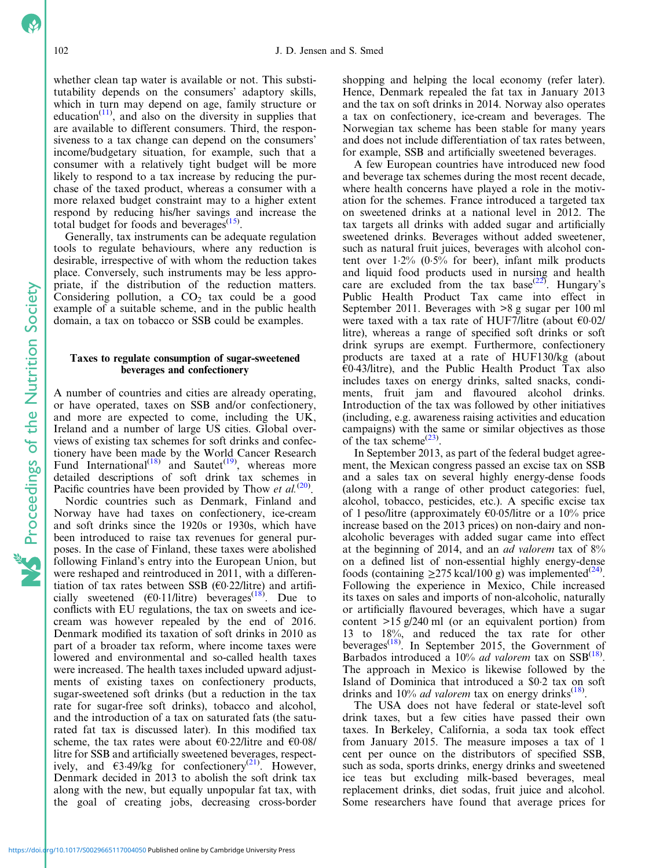whether clean tap water is available or not. This substitutability depends on the consumers' adaptory skills, which in turn may depend on age, family structure or education $(11)$  $(11)$  $(11)$ , and also on the diversity in supplies that are available to different consumers. Third, the responsiveness to a tax change can depend on the consumers' income/budgetary situation, for example, such that a consumer with a relatively tight budget will be more likely to respond to a tax increase by reducing the purchase of the taxed product, whereas a consumer with a more relaxed budget constraint may to a higher extent respond by reducing his/her savings and increase the total budget for foods and beverages $(15)$ .

Generally, tax instruments can be adequate regulation tools to regulate behaviours, where any reduction is desirable, irrespective of with whom the reduction takes place. Conversely, such instruments may be less appropriate, if the distribution of the reduction matters. Considering pollution, a  $CO<sub>2</sub>$  tax could be a good example of a suitable scheme, and in the public health domain, a tax on tobacco or SSB could be examples.

# Taxes to regulate consumption of sugar-sweetened beverages and confectionery

A number of countries and cities are already operating, or have operated, taxes on SSB and/or confectionery, and more are expected to come, including the UK, Ireland and a number of large US cities. Global overviews of existing tax schemes for soft drinks and confectionery have been made by the World Cancer Research Fund International<sup>([18](#page-5-0))</sup> and Sautet<sup>[\(19\)](#page-5-0)</sup>, whereas more detailed descriptions of soft drink tax schemes in Pacific countries have been provided by Thow et  $al$ .<sup>([20](#page-5-0))</sup>.

Nordic countries such as Denmark, Finland and Norway have had taxes on confectionery, ice-cream and soft drinks since the 1920s or 1930s, which have been introduced to raise tax revenues for general purposes. In the case of Finland, these taxes were abolished following Finland's entry into the European Union, but were reshaped and reintroduced in 2011, with a differentiation of tax rates between SSB ( $\epsilon$ 0.22/litre) and artifi-cially sweetened (€0.11/litre) beverages<sup>[\(18\)](#page-5-0)</sup>. Due to conflicts with EU regulations, the tax on sweets and icecream was however repealed by the end of 2016. Denmark modified its taxation of soft drinks in 2010 as part of a broader tax reform, where income taxes were lowered and environmental and so-called health taxes were increased. The health taxes included upward adjustments of existing taxes on confectionery products, sugar-sweetened soft drinks (but a reduction in the tax rate for sugar-free soft drinks), tobacco and alcohol, and the introduction of a tax on saturated fats (the saturated fat tax is discussed later). In this modified tax scheme, the tax rates were about  $\epsilon$ 0.22/litre and  $\epsilon$ 0.08/ litre for SSB and artificially sweetened beverages, respectively, and  $\epsilon$ 3.49/kg for confectionery<sup>[\(21\)](#page-5-0)</sup>. However, Denmark decided in 2013 to abolish the soft drink tax along with the new, but equally unpopular fat tax, with the goal of creating jobs, decreasing cross-border

shopping and helping the local economy (refer later). Hence, Denmark repealed the fat tax in January 2013 and the tax on soft drinks in 2014. Norway also operates a tax on confectionery, ice-cream and beverages. The Norwegian tax scheme has been stable for many years and does not include differentiation of tax rates between, for example, SSB and artificially sweetened beverages.

A few European countries have introduced new food and beverage tax schemes during the most recent decade, where health concerns have played a role in the motivation for the schemes. France introduced a targeted tax on sweetened drinks at a national level in 2012. The tax targets all drinks with added sugar and artificially sweetened drinks. Beverages without added sweetener, such as natural fruit juices, beverages with alcohol content over  $1.2\%$  (0.5% for beer), infant milk products and liquid food products used in nursing and health care are excluded from the tax base $(22)$ . Hungary's Public Health Product Tax came into effect in September 2011. Beverages with >8 g sugar per 100 ml were taxed with a tax rate of HUF7/litre (about  $\epsilon$ 0.02/ litre), whereas a range of specified soft drinks or soft drink syrups are exempt. Furthermore, confectionery products are taxed at a rate of HUF130/kg (about €0·43/litre), and the Public Health Product Tax also includes taxes on energy drinks, salted snacks, condiments, fruit jam and flavoured alcohol drinks. Introduction of the tax was followed by other initiatives (including, e.g. awareness raising activities and education campaigns) with the same or similar objectives as those of the tax scheme<sup>([23](#page-5-0))</sup>.

In September 2013, as part of the federal budget agreement, the Mexican congress passed an excise tax on SSB and a sales tax on several highly energy-dense foods (along with a range of other product categories: fuel, alcohol, tobacco, pesticides, etc.). A specific excise tax of 1 peso/litre (approximately  $\epsilon$ 0.05/litre or a 10% price increase based on the 2013 prices) on non-dairy and nonalcoholic beverages with added sugar came into effect at the beginning of 2014, and an ad valorem tax of 8% on a defined list of non-essential highly energy-dense foods (containing  $\geq$ 275 kcal/100 g) was implemented<sup>[\(24\)](#page-5-0)</sup>. Following the experience in Mexico, Chile increased its taxes on sales and imports of non-alcoholic, naturally or artificially flavoured beverages, which have a sugar content >15 g/240 ml (or an equivalent portion) from 13 to 18%, and reduced the tax rate for other beverages $\frac{(18)}{ }$  $\frac{(18)}{ }$  $\frac{(18)}{ }$ . In September 2015, the Government of Barbados introduced a 10% *ad valorem* tax on  $SSB^{(18)}$  $SSB^{(18)}$  $SSB^{(18)}$ . The approach in Mexico is likewise followed by the Island of Dominica that introduced a \$0·2 tax on soft drinks and 10% *ad valorem* tax on energy drinks<sup>[\(18\)](#page-5-0)</sup>.

The USA does not have federal or state-level soft drink taxes, but a few cities have passed their own taxes. In Berkeley, California, a soda tax took effect from January 2015. The measure imposes a tax of 1 cent per ounce on the distributors of specified SSB, such as soda, sports drinks, energy drinks and sweetened ice teas but excluding milk-based beverages, meal replacement drinks, diet sodas, fruit juice and alcohol. Some researchers have found that average prices for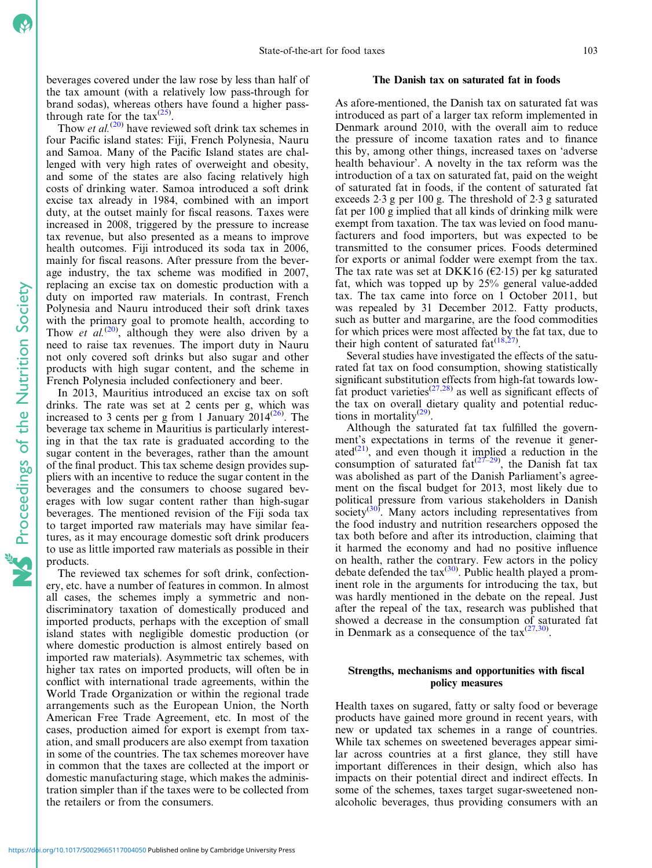beverages covered under the law rose by less than half of the tax amount (with a relatively low pass-through for brand sodas), whereas others have found a higher passthrough rate for the  $\text{tax}^{(25)}$  $\text{tax}^{(25)}$  $\text{tax}^{(25)}$ .

Thow et al.<sup>[\(20\)](#page-5-0)</sup> have reviewed soft drink tax schemes in four Pacific island states: Fiji, French Polynesia, Nauru and Samoa. Many of the Pacific Island states are challenged with very high rates of overweight and obesity, and some of the states are also facing relatively high costs of drinking water. Samoa introduced a soft drink excise tax already in 1984, combined with an import duty, at the outset mainly for fiscal reasons. Taxes were increased in 2008, triggered by the pressure to increase tax revenue, but also presented as a means to improve health outcomes. Fiji introduced its soda tax in 2006, mainly for fiscal reasons. After pressure from the beverage industry, the tax scheme was modified in 2007, replacing an excise tax on domestic production with a duty on imported raw materials. In contrast, French Polynesia and Nauru introduced their soft drink taxes with the primary goal to promote health, according to Thow et  $al^{(20)}$  $al^{(20)}$  $al^{(20)}$ , although they were also driven by a need to raise tax revenues. The import duty in Nauru not only covered soft drinks but also sugar and other products with high sugar content, and the scheme in French Polynesia included confectionery and beer.

In 2013, Mauritius introduced an excise tax on soft drinks. The rate was set at 2 cents per g, which was increased to 3 cents per g from 1 January  $2014^{(26)}$  $2014^{(26)}$  $2014^{(26)}$ . The beverage tax scheme in Mauritius is particularly interesting in that the tax rate is graduated according to the sugar content in the beverages, rather than the amount of the final product. This tax scheme design provides suppliers with an incentive to reduce the sugar content in the beverages and the consumers to choose sugared beverages with low sugar content rather than high-sugar beverages. The mentioned revision of the Fiji soda tax to target imported raw materials may have similar features, as it may encourage domestic soft drink producers to use as little imported raw materials as possible in their products.

The reviewed tax schemes for soft drink, confectionery, etc. have a number of features in common. In almost all cases, the schemes imply a symmetric and nondiscriminatory taxation of domestically produced and imported products, perhaps with the exception of small island states with negligible domestic production (or where domestic production is almost entirely based on imported raw materials). Asymmetric tax schemes, with higher tax rates on imported products, will often be in conflict with international trade agreements, within the World Trade Organization or within the regional trade arrangements such as the European Union, the North American Free Trade Agreement, etc. In most of the cases, production aimed for export is exempt from taxation, and small producers are also exempt from taxation in some of the countries. The tax schemes moreover have in common that the taxes are collected at the import or domestic manufacturing stage, which makes the administration simpler than if the taxes were to be collected from the retailers or from the consumers.

#### The Danish tax on saturated fat in foods

As afore-mentioned, the Danish tax on saturated fat was introduced as part of a larger tax reform implemented in Denmark around 2010, with the overall aim to reduce the pressure of income taxation rates and to finance this by, among other things, increased taxes on 'adverse health behaviour'. A novelty in the tax reform was the introduction of a tax on saturated fat, paid on the weight of saturated fat in foods, if the content of saturated fat exceeds 2·3 g per 100 g. The threshold of 2·3 g saturated fat per 100 g implied that all kinds of drinking milk were exempt from taxation. The tax was levied on food manufacturers and food importers, but was expected to be transmitted to the consumer prices. Foods determined for exports or animal fodder were exempt from the tax. The tax rate was set at DKK16 ( $\epsilon$ 2.15) per kg saturated fat, which was topped up by 25% general value-added tax. The tax came into force on 1 October 2011, but was repealed by 31 December 2012. Fatty products, such as butter and margarine, are the food commodities for which prices were most affected by the fat tax, due to their high content of saturated  $fat^{(18,27)}$  $fat^{(18,27)}$  $fat^{(18,27)}$ .

Several studies have investigated the effects of the saturated fat tax on food consumption, showing statistically significant substitution effects from high-fat towards lowfat product varieties<sup> $(27,28)$  $(27,28)$ </sup> as well as significant effects of the tax on overall dietary quality and potential reductions in mortality $(29)$ .

Although the saturated fat tax fulfilled the government's expectations in terms of the revenue it gener-ated<sup>([21](#page-5-0))</sup>, and even though it implied a reduction in the consumption of saturated  $fat^{(27-29)}$  $fat^{(27-29)}$  $fat^{(27-29)}$  $fat^{(27-29)}$  $fat^{(27-29)}$ , the Danish fat tax was abolished as part of the Danish Parliament's agreement on the fiscal budget for 2013, most likely due to political pressure from various stakeholders in Danish society<sup>([30](#page-5-0))</sup>. Many actors including representatives from the food industry and nutrition researchers opposed the tax both before and after its introduction, claiming that it harmed the economy and had no positive influence on health, rather the contrary. Few actors in the policy debate defended the  $\text{tax}^{(30)}$  $\text{tax}^{(30)}$  $\text{tax}^{(30)}$ . Public health played a prominent role in the arguments for introducing the tax, but was hardly mentioned in the debate on the repeal. Just after the repeal of the tax, research was published that showed a decrease in the consumption of saturated fat in Denmark as a consequence of the  $\text{tax}^{(27,30)}$  $\text{tax}^{(27,30)}$  $\text{tax}^{(27,30)}$ .

# Strengths, mechanisms and opportunities with fiscal policy measures

Health taxes on sugared, fatty or salty food or beverage products have gained more ground in recent years, with new or updated tax schemes in a range of countries. While tax schemes on sweetened beverages appear similar across countries at a first glance, they still have important differences in their design, which also has impacts on their potential direct and indirect effects. In some of the schemes, taxes target sugar-sweetened nonalcoholic beverages, thus providing consumers with an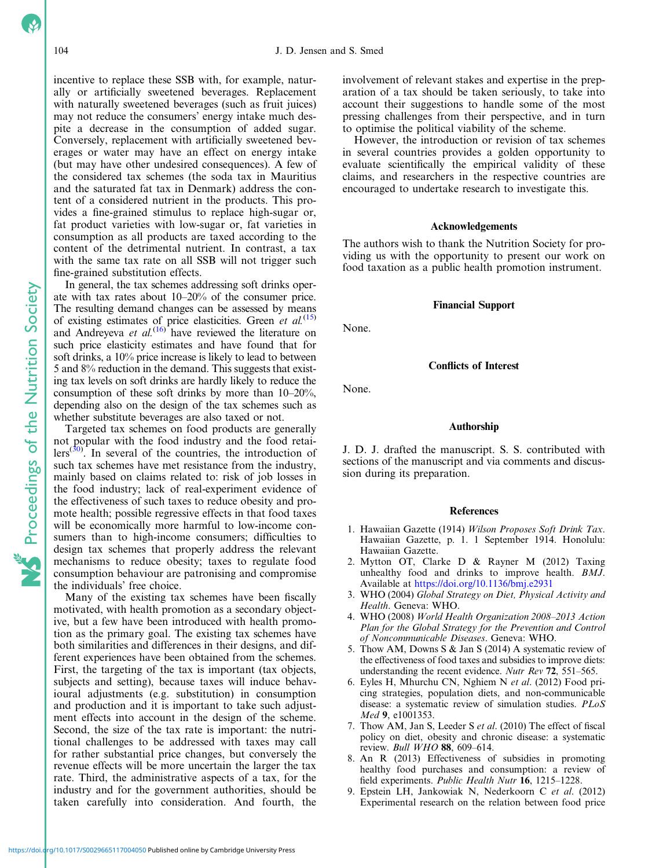<span id="page-4-0"></span>incentive to replace these SSB with, for example, naturally or artificially sweetened beverages. Replacement with naturally sweetened beverages (such as fruit juices) may not reduce the consumers' energy intake much despite a decrease in the consumption of added sugar. Conversely, replacement with artificially sweetened beverages or water may have an effect on energy intake (but may have other undesired consequences). A few of the considered tax schemes (the soda tax in Mauritius and the saturated fat tax in Denmark) address the content of a considered nutrient in the products. This provides a fine-grained stimulus to replace high-sugar or, fat product varieties with low-sugar or, fat varieties in consumption as all products are taxed according to the content of the detrimental nutrient. In contrast, a tax with the same tax rate on all SSB will not trigger such fine-grained substitution effects.

In general, the tax schemes addressing soft drinks operate with tax rates about 10–20% of the consumer price. The resulting demand changes can be assessed by means of existing estimates of price elasticities. Green *et al.*<sup>[\(15\)](#page-5-0)</sup> and Andreyeva et  $al$ .<sup>[\(16](#page-5-0))</sup> have reviewed the literature on such price elasticity estimates and have found that for soft drinks, a 10% price increase is likely to lead to between 5 and 8% reduction in the demand. This suggests that existing tax levels on soft drinks are hardly likely to reduce the consumption of these soft drinks by more than 10–20%, depending also on the design of the tax schemes such as whether substitute beverages are also taxed or not.

Targeted tax schemes on food products are generally not popular with the food industry and the food retai- $lers^{(30)}$  $lers^{(30)}$  $lers^{(30)}$ . In several of the countries, the introduction of such tax schemes have met resistance from the industry, mainly based on claims related to: risk of job losses in the food industry; lack of real-experiment evidence of the effectiveness of such taxes to reduce obesity and promote health; possible regressive effects in that food taxes will be economically more harmful to low-income consumers than to high-income consumers; difficulties to design tax schemes that properly address the relevant mechanisms to reduce obesity; taxes to regulate food consumption behaviour are patronising and compromise the individuals' free choice.

Many of the existing tax schemes have been fiscally motivated, with health promotion as a secondary objective, but a few have been introduced with health promotion as the primary goal. The existing tax schemes have both similarities and differences in their designs, and different experiences have been obtained from the schemes. First, the targeting of the tax is important (tax objects, subjects and setting), because taxes will induce behavioural adjustments (e.g. substitution) in consumption and production and it is important to take such adjustment effects into account in the design of the scheme. Second, the size of the tax rate is important: the nutritional challenges to be addressed with taxes may call for rather substantial price changes, but conversely the revenue effects will be more uncertain the larger the tax rate. Third, the administrative aspects of a tax, for the industry and for the government authorities, should be taken carefully into consideration. And fourth, the involvement of relevant stakes and expertise in the preparation of a tax should be taken seriously, to take into account their suggestions to handle some of the most pressing challenges from their perspective, and in turn to optimise the political viability of the scheme.

However, the introduction or revision of tax schemes in several countries provides a golden opportunity to evaluate scientifically the empirical validity of these claims, and researchers in the respective countries are encouraged to undertake research to investigate this.

# Acknowledgements

The authors wish to thank the Nutrition Society for providing us with the opportunity to present our work on food taxation as a public health promotion instrument.

# Financial Support

None.

## Conflicts of Interest

None.

## Authorship

J. D. J. drafted the manuscript. S. S. contributed with sections of the manuscript and via comments and discussion during its preparation.

## References

- 1. Hawaiian Gazette (1914) Wilson Proposes Soft Drink Tax. Hawaiian Gazette, p. 1. 1 September 1914. Honolulu: Hawaiian Gazette.
- 2. Mytton OT, Clarke D & Rayner M (2012) Taxing unhealthy food and drinks to improve health. BMJ. Available at <https://doi.org/10.1136/bmj.e2931>
- 3. WHO (2004) Global Strategy on Diet, Physical Activity and Health. Geneva: WHO.
- 4. WHO (2008) World Health Organization 2008–2013 Action Plan for the Global Strategy for the Prevention and Control of Noncommunicable Diseases. Geneva: WHO.
- 5. Thow AM, Downs S & Jan S (2014) A systematic review of the effectiveness of food taxes and subsidies to improve diets: understanding the recent evidence. Nutr Rev 72, 551–565.
- 6. Eyles H, Mhurchu CN, Nghiem N et al. (2012) Food pricing strategies, population diets, and non-communicable disease: a systematic review of simulation studies. PLoS Med 9, e1001353.
- 7. Thow AM, Jan S, Leeder S et al. (2010) The effect of fiscal policy on diet, obesity and chronic disease: a systematic review. Bull WHO 88, 609–614.
- 8. An R (2013) Effectiveness of subsidies in promoting healthy food purchases and consumption: a review of field experiments. Public Health Nutr 16, 1215–1228.
- 9. Epstein LH, Jankowiak N, Nederkoorn C et al. (2012) Experimental research on the relation between food price